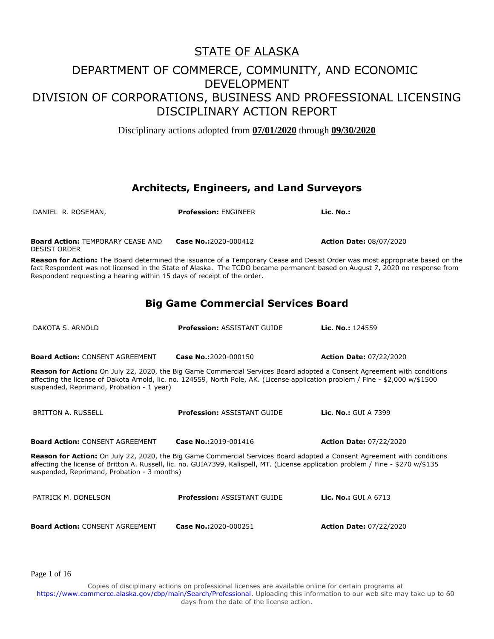Disciplinary actions adopted from **07/01/2020** through **09/30/2020**

### **Architects, Engineers, and Land Surveyors**

| DANIEL R. ROSEMAN,                                                                                                                                                                                                                                                                                           | <b>Profession: ENGINEER</b>                                                                                                 | Lic. No.:                                                                                                                    |  |
|--------------------------------------------------------------------------------------------------------------------------------------------------------------------------------------------------------------------------------------------------------------------------------------------------------------|-----------------------------------------------------------------------------------------------------------------------------|------------------------------------------------------------------------------------------------------------------------------|--|
| <b>Board Action: TEMPORARY CEASE AND</b><br><b>DESIST ORDER</b>                                                                                                                                                                                                                                              | Case No.:2020-000412                                                                                                        | <b>Action Date: 08/07/2020</b>                                                                                               |  |
| Respondent requesting a hearing within 15 days of receipt of the order.                                                                                                                                                                                                                                      | fact Respondent was not licensed in the State of Alaska. The TCDO became permanent based on August 7, 2020 no response from | Reason for Action: The Board determined the issuance of a Temporary Cease and Desist Order was most appropriate based on the |  |
| <b>Big Game Commercial Services Board</b>                                                                                                                                                                                                                                                                    |                                                                                                                             |                                                                                                                              |  |
| DAKOTA S. ARNOLD                                                                                                                                                                                                                                                                                             | <b>Profession: ASSISTANT GUIDE</b>                                                                                          | Lic. No.: 124559                                                                                                             |  |
| <b>Board Action: CONSENT AGREEMENT</b>                                                                                                                                                                                                                                                                       | Case No.:2020-000150                                                                                                        | <b>Action Date: 07/22/2020</b>                                                                                               |  |
| Reason for Action: On July 22, 2020, the Big Game Commercial Services Board adopted a Consent Agreement with conditions<br>affecting the license of Dakota Arnold, lic. no. 124559, North Pole, AK. (License application problem / Fine - \$2,000 w/\$1500<br>suspended, Reprimand, Probation - 1 year)      |                                                                                                                             |                                                                                                                              |  |
| <b>BRITTON A. RUSSELL</b>                                                                                                                                                                                                                                                                                    | <b>Profession: ASSISTANT GUIDE</b>                                                                                          | <b>Lic. No.: GUI A 7399</b>                                                                                                  |  |
| <b>Board Action: CONSENT AGREEMENT</b>                                                                                                                                                                                                                                                                       | Case No.:2019-001416                                                                                                        | <b>Action Date: 07/22/2020</b>                                                                                               |  |
| Reason for Action: On July 22, 2020, the Big Game Commercial Services Board adopted a Consent Agreement with conditions<br>affecting the license of Britton A. Russell, lic. no. GUIA7399, Kalispell, MT. (License application problem / Fine - \$270 w/\$135<br>suspended, Reprimand, Probation - 3 months) |                                                                                                                             |                                                                                                                              |  |
| PATRICK M. DONELSON                                                                                                                                                                                                                                                                                          | <b>Profession: ASSISTANT GUIDE</b>                                                                                          | <b>Lic. No.: GUI A 6713</b>                                                                                                  |  |
| <b>Board Action: CONSENT AGREEMENT</b>                                                                                                                                                                                                                                                                       | Case No.:2020-000251                                                                                                        | <b>Action Date: 07/22/2020</b>                                                                                               |  |

Page 1 of 16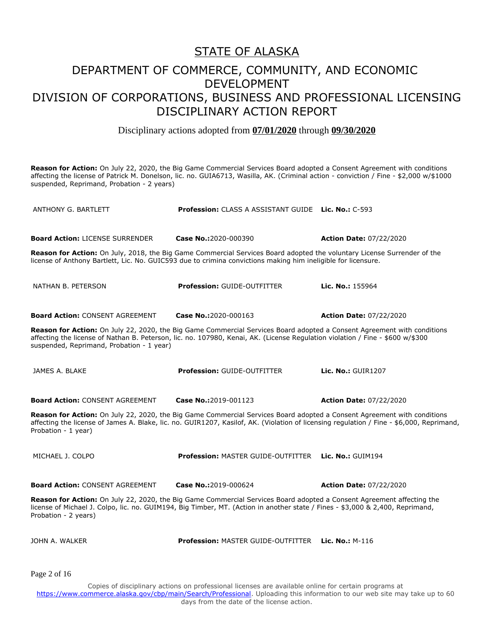# STATE OF ALASKA DEPARTMENT OF COMMERCE, COMMUNITY, AND ECONOMIC DEVELOPMENT

## DIVISION OF CORPORATIONS, BUSINESS AND PROFESSIONAL LICENSING DISCIPLINARY ACTION REPORT

Disciplinary actions adopted from **07/01/2020** through **09/30/2020**

**Reason for Action:** On July 22, 2020, the Big Game Commercial Services Board adopted a Consent Agreement with conditions affecting the license of Patrick M. Donelson, lic. no. GUIA6713, Wasilla, AK. (Criminal action - conviction / Fine - \$2,000 w/\$1000 suspended, Reprimand, Probation - 2 years)

| <b>ANTHONY G. BARTLETT</b>                                                                                                                                                                                                                                                                            | <b>Profession:</b> CLASS A ASSISTANT GUIDE Lic. No.: C-593 |                                |
|-------------------------------------------------------------------------------------------------------------------------------------------------------------------------------------------------------------------------------------------------------------------------------------------------------|------------------------------------------------------------|--------------------------------|
| <b>Board Action: LICENSE SURRENDER</b>                                                                                                                                                                                                                                                                | Case No.:2020-000390                                       | <b>Action Date: 07/22/2020</b> |
| Reason for Action: On July, 2018, the Big Game Commercial Services Board adopted the voluntary License Surrender of the<br>license of Anthony Bartlett, Lic. No. GUIC593 due to crimina convictions making him ineligible for licensure.                                                              |                                                            |                                |
| NATHAN B. PETERSON                                                                                                                                                                                                                                                                                    | <b>Profession: GUIDE-OUTFITTER</b>                         | Lic. No.: 155964               |
| <b>Board Action: CONSENT AGREEMENT</b>                                                                                                                                                                                                                                                                | Case No.:2020-000163                                       | <b>Action Date: 07/22/2020</b> |
| Reason for Action: On July 22, 2020, the Big Game Commercial Services Board adopted a Consent Agreement with conditions<br>affecting the license of Nathan B. Peterson, lic. no. 107980, Kenai, AK. (License Regulation violation / Fine - \$600 w/\$300<br>suspended, Reprimand, Probation - 1 year) |                                                            |                                |
| JAMES A. BLAKE                                                                                                                                                                                                                                                                                        | <b>Profession: GUIDE-OUTFITTER</b>                         | <b>Lic. No.: GUIR1207</b>      |
| <b>Board Action: CONSENT AGREEMENT</b>                                                                                                                                                                                                                                                                | Case No.:2019-001123                                       | <b>Action Date: 07/22/2020</b> |
| Reason for Action: On July 22, 2020, the Big Game Commercial Services Board adopted a Consent Agreement with conditions<br>affecting the license of James A. Blake, lic. no. GUIR1207, Kasilof, AK. (Violation of licensing regulation / Fine - \$6,000, Reprimand,<br>Probation - 1 year)            |                                                            |                                |
| MICHAEL J. COLPO                                                                                                                                                                                                                                                                                      | Profession: MASTER GUIDE-OUTFITTER Lic. No.: GUIM194       |                                |
| <b>Board Action: CONSENT AGREEMENT</b>                                                                                                                                                                                                                                                                | Case No.:2019-000624                                       | <b>Action Date: 07/22/2020</b> |
| Reason for Action: On July 22, 2020, the Big Game Commercial Services Board adopted a Consent Agreement affecting the<br>license of Michael J. Colpo, lic. no. GUIM194, Big Timber, MT. (Action in another state / Fines - \$3,000 & 2,400, Reprimand,<br>Probation - 2 years)                        |                                                            |                                |
| JOHN A. WALKER                                                                                                                                                                                                                                                                                        | <b>Profession: MASTER GUIDE-OUTFITTER Lic. No.: M-116</b>  |                                |

Page 2 of 16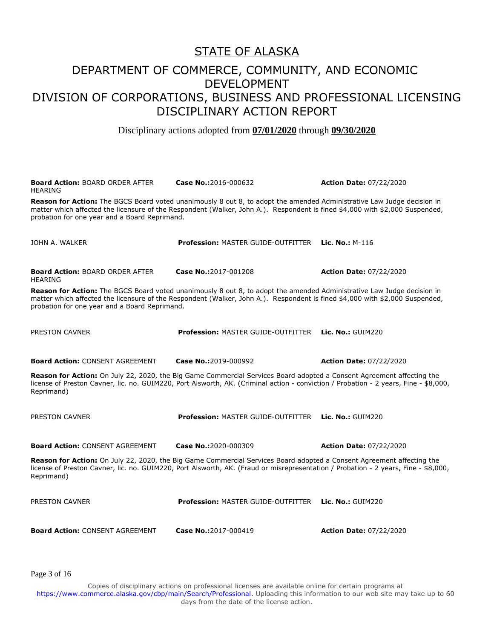## DEPARTMENT OF COMMERCE, COMMUNITY, AND ECONOMIC DEVELOPMENT DIVISION OF CORPORATIONS, BUSINESS AND PROFESSIONAL LICENSING DISCIPLINARY ACTION REPORT

Disciplinary actions adopted from **07/01/2020** through **09/30/2020**

| <b>Board Action: BOARD ORDER AFTER</b><br><b>HEARING</b>                                                                                                                                                                                                                                                | Case No.:2016-000632                                                                                                                                                                                                                                          | <b>Action Date: 07/22/2020</b>      |  |
|---------------------------------------------------------------------------------------------------------------------------------------------------------------------------------------------------------------------------------------------------------------------------------------------------------|---------------------------------------------------------------------------------------------------------------------------------------------------------------------------------------------------------------------------------------------------------------|-------------------------------------|--|
| Reason for Action: The BGCS Board voted unanimously 8 out 8, to adopt the amended Administrative Law Judge decision in<br>matter which affected the licensure of the Respondent (Walker, John A.). Respondent is fined \$4,000 with \$2,000 Suspended,<br>probation for one year and a Board Reprimand. |                                                                                                                                                                                                                                                               |                                     |  |
| JOHN A. WALKER                                                                                                                                                                                                                                                                                          | <b>Profession: MASTER GUIDE-OUTFITTER</b>                                                                                                                                                                                                                     | <b>Lic. No.: <math>M-116</math></b> |  |
| <b>Board Action: BOARD ORDER AFTER</b><br><b>HEARING</b>                                                                                                                                                                                                                                                | Case No.:2017-001208                                                                                                                                                                                                                                          | <b>Action Date: 07/22/2020</b>      |  |
| Reason for Action: The BGCS Board voted unanimously 8 out 8, to adopt the amended Administrative Law Judge decision in<br>matter which affected the licensure of the Respondent (Walker, John A.). Respondent is fined \$4,000 with \$2,000 Suspended,<br>probation for one year and a Board Reprimand. |                                                                                                                                                                                                                                                               |                                     |  |
| PRESTON CAVNER                                                                                                                                                                                                                                                                                          | <b>Profession: MASTER GUIDE-OUTFITTER</b>                                                                                                                                                                                                                     | Lic. $No.:$ GUIM220                 |  |
| <b>Board Action: CONSENT AGREEMENT</b>                                                                                                                                                                                                                                                                  | Case No.:2019-000992                                                                                                                                                                                                                                          | <b>Action Date: 07/22/2020</b>      |  |
| Reprimand)                                                                                                                                                                                                                                                                                              | Reason for Action: On July 22, 2020, the Big Game Commercial Services Board adopted a Consent Agreement affecting the<br>license of Preston Cavner, lic. no. GUIM220, Port Alsworth, AK. (Criminal action - conviction / Probation - 2 years, Fine - \$8,000, |                                     |  |
| PRESTON CAVNER                                                                                                                                                                                                                                                                                          | <b>Profession: MASTER GUIDE-OUTFITTER</b>                                                                                                                                                                                                                     | Lic. No.: GUIM220                   |  |
| <b>Board Action: CONSENT AGREEMENT</b>                                                                                                                                                                                                                                                                  | Case No.:2020-000309                                                                                                                                                                                                                                          | <b>Action Date: 07/22/2020</b>      |  |
| Reason for Action: On July 22, 2020, the Big Game Commercial Services Board adopted a Consent Agreement affecting the<br>license of Preston Cavner, lic. no. GUIM220, Port Alsworth, AK. (Fraud or misrepresentation / Probation - 2 years, Fine - \$8,000,<br>Reprimand)                               |                                                                                                                                                                                                                                                               |                                     |  |
| <b>PRESTON CAVNER</b>                                                                                                                                                                                                                                                                                   | <b>Profession: MASTER GUIDE-OUTFITTER</b>                                                                                                                                                                                                                     | Lic. No.: GUIM220                   |  |
| <b>Board Action: CONSENT AGREEMENT</b>                                                                                                                                                                                                                                                                  | Case No.:2017-000419                                                                                                                                                                                                                                          | <b>Action Date: 07/22/2020</b>      |  |

Page 3 of 16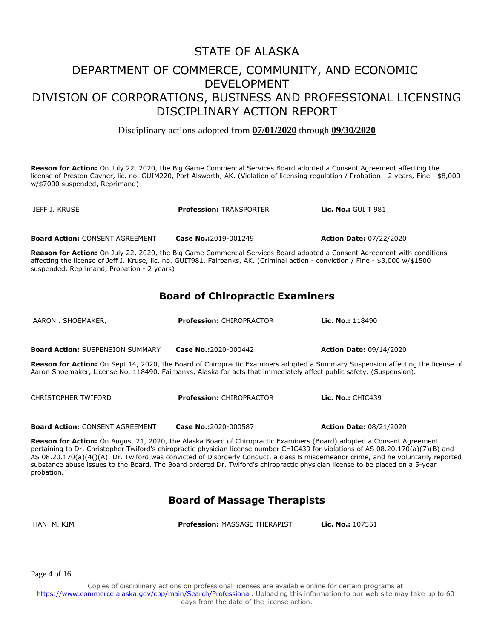## DEPARTMENT OF COMMERCE, COMMUNITY, AND ECONOMIC DEVELOPMENT DIVISION OF CORPORATIONS, BUSINESS AND PROFESSIONAL LICENSING DISCIPLINARY ACTION REPORT

Disciplinary actions adopted from **07/01/2020** through **09/30/2020**

**Reason for Action:** On July 22, 2020, the Big Game Commercial Services Board adopted a Consent Agreement affecting the license of Preston Cavner, lic. no. GUIM220, Port Alsworth, AK. (Violation of licensing regulation / Probation - 2 years, Fine - \$8,000 w/\$7000 suspended, Reprimand)

JEFF J. KRUSE **Profession:** TRANSPORTER **Lic. No.:** GUI T 981 **Board Action:** CONSENT AGREEMENT **Case No.:**2019-001249 **Action Date:** 07/22/2020 **Reason for Action:** On July 22, 2020, the Big Game Commercial Services Board adopted a Consent Agreement with conditions affecting the license of Jeff J. Kruse, lic. no. GUIT981, Fairbanks, AK. (Criminal action - conviction / Fine - \$3,000 w/\$1500 suspended, Reprimand, Probation - 2 years) **Board of Chiropractic Examiners** AARON . SHOEMAKER, **Profession:** CHIROPRACTOR **Lic. No.:** 118490 **Board Action:** SUSPENSION SUMMARY **Case No.:**2020-000442 **Action Date:** 09/14/2020 **Reason for Action:** On Sept 14, 2020, the Board of Chiropractic Examiners adopted a Summary Suspension affecting the license of Aaron Shoemaker, License No. 118490, Fairbanks, Alaska for acts that immediately affect public safety. (Suspension). CHRISTOPHER TWIFORD **Profession:** CHIROPRACTOR **Lic. No.:** CHIC439 **Board Action:** CONSENT AGREEMENT **Case No.:**2020-000587 **Action Date:** 08/21/2020

**Reason for Action:** On August 21, 2020, the Alaska Board of Chiropractic Examiners (Board) adopted a Consent Agreement pertaining to Dr. Christopher Twiford's chiropractic physician license number CHIC439 for violations of AS 08.20.170(a)(7)(B) and AS 08.20.170(a)(4()(A). Dr. Twiford was convicted of Disorderly Conduct, a class B misdemeanor crime, and he voluntarily reported substance abuse issues to the Board. The Board ordered Dr. Twiford's chiropractic physician license to be placed on a 5-year probation.

## **Board of Massage Therapists**

HAN M. KIM **Profession:** MASSAGE THERAPIST **Lic. No.:** 107551

Page 4 of 16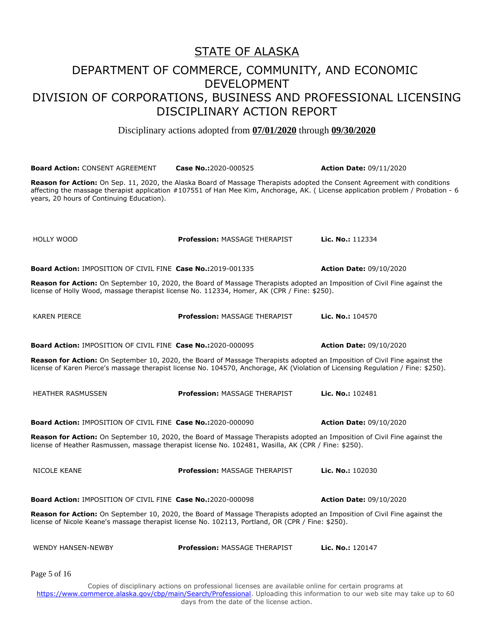Disciplinary actions adopted from **07/01/2020** through **09/30/2020**

**Board Action:** CONSENT AGREEMENT **Case No.:**2020-000525 **Action Date:** 09/11/2020 **Reason for Action:** On Sep. 11, 2020, the Alaska Board of Massage Therapists adopted the Consent Agreement with conditions affecting the massage therapist application #107551 of Han Mee Kim, Anchorage, AK. ( License application problem / Probation - 6 years, 20 hours of Continuing Education). HOLLY WOOD **Profession:** MASSAGE THERAPIST **Lic. No.:** 112334 **Board Action:** IMPOSITION OF CIVIL FINE **Case No.:**2019-001335 **Action Date:** 09/10/2020 **Reason for Action:** On September 10, 2020, the Board of Massage Therapists adopted an Imposition of Civil Fine against the license of Holly Wood, massage therapist license No. 112334, Homer, AK (CPR / Fine: \$250). KAREN PIERCE **Profession:** MASSAGE THERAPIST **Lic. No.:** 104570 **Board Action:** IMPOSITION OF CIVIL FINE **Case No.:**2020-000095 **Action Date:** 09/10/2020 **Reason for Action:** On September 10, 2020, the Board of Massage Therapists adopted an Imposition of Civil Fine against the license of Karen Pierce's massage therapist license No. 104570, Anchorage, AK (Violation of Licensing Regulation / Fine: \$250). HEATHER RASMUSSEN **Profession:** MASSAGE THERAPIST **Lic. No.:** 102481 **Board Action:** IMPOSITION OF CIVIL FINE **Case No.:**2020-000090 **Action Date:** 09/10/2020 **Reason for Action:** On September 10, 2020, the Board of Massage Therapists adopted an Imposition of Civil Fine against the license of Heather Rasmussen, massage therapist license No. 102481, Wasilla, AK (CPR / Fine: \$250). NICOLE KEANE **Profession:** MASSAGE THERAPIST **Lic. No.:** 102030 **Board Action:** IMPOSITION OF CIVIL FINE **Case No.:**2020-000098 **Action Date:** 09/10/2020 **Reason for Action:** On September 10, 2020, the Board of Massage Therapists adopted an Imposition of Civil Fine against the license of Nicole Keane's massage therapist license No. 102113, Portland, OR (CPR / Fine: \$250). WENDY HANSEN-NEWBY **Profession:** MASSAGE THERAPIST **Lic. No.:** 120147 Copies of disciplinary actions on professional licenses are available online for certain programs at Page 5 of 16

https://www.commerce.alaska.gov/cbp/main/Search/Professional</u>. Uploading this information to our web site may take up to 60 days from the date of the license action.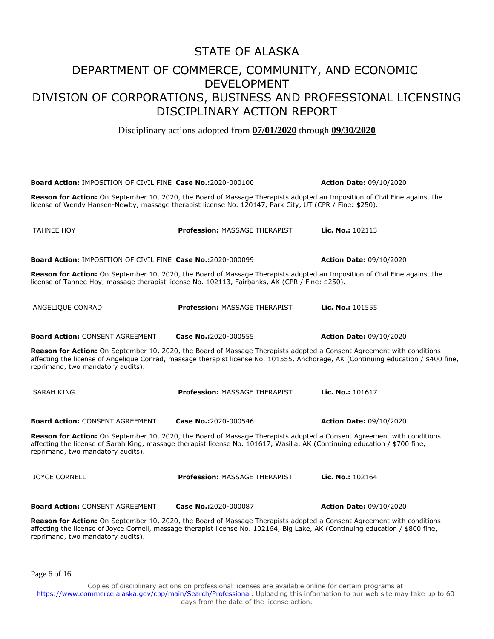Disciplinary actions adopted from **07/01/2020** through **09/30/2020**

| <b>Board Action: IMPOSITION OF CIVIL FINE Case No.:2020-000100</b>                                                                                                                                                                                                                               |                                      | <b>Action Date: 09/10/2020</b> |  |
|--------------------------------------------------------------------------------------------------------------------------------------------------------------------------------------------------------------------------------------------------------------------------------------------------|--------------------------------------|--------------------------------|--|
| Reason for Action: On September 10, 2020, the Board of Massage Therapists adopted an Imposition of Civil Fine against the<br>license of Wendy Hansen-Newby, massage therapist license No. 120147, Park City, UT (CPR / Fine: \$250).                                                             |                                      |                                |  |
| <b>TAHNEE HOY</b>                                                                                                                                                                                                                                                                                | <b>Profession: MASSAGE THERAPIST</b> | Lic. No.: 102113               |  |
| <b>Board Action: IMPOSITION OF CIVIL FINE Case No.:2020-000099</b>                                                                                                                                                                                                                               |                                      | <b>Action Date: 09/10/2020</b> |  |
| Reason for Action: On September 10, 2020, the Board of Massage Therapists adopted an Imposition of Civil Fine against the<br>license of Tahnee Hoy, massage therapist license No. 102113, Fairbanks, AK (CPR / Fine: \$250).                                                                     |                                      |                                |  |
| ANGELIQUE CONRAD                                                                                                                                                                                                                                                                                 | <b>Profession: MASSAGE THERAPIST</b> | Lic. No.: 101555               |  |
| <b>Board Action: CONSENT AGREEMENT</b>                                                                                                                                                                                                                                                           | Case No.:2020-000555                 | <b>Action Date: 09/10/2020</b> |  |
| Reason for Action: On September 10, 2020, the Board of Massage Therapists adopted a Consent Agreement with conditions<br>affecting the license of Angelique Conrad, massage therapist license No. 101555, Anchorage, AK (Continuing education / \$400 fine,<br>reprimand, two mandatory audits). |                                      |                                |  |
| SARAH KING                                                                                                                                                                                                                                                                                       | <b>Profession: MASSAGE THERAPIST</b> | Lic. No.: 101617               |  |
| <b>Board Action: CONSENT AGREEMENT</b>                                                                                                                                                                                                                                                           | Case No.:2020-000546                 | <b>Action Date: 09/10/2020</b> |  |
| Reason for Action: On September 10, 2020, the Board of Massage Therapists adopted a Consent Agreement with conditions<br>affecting the license of Sarah King, massage therapist license No. 101617, Wasilla, AK (Continuing education / \$700 fine,<br>reprimand, two mandatory audits).         |                                      |                                |  |
| <b>JOYCE CORNELL</b>                                                                                                                                                                                                                                                                             | <b>Profession: MASSAGE THERAPIST</b> | Lic. No.: 102164               |  |
| <b>Board Action: CONSENT AGREEMENT</b>                                                                                                                                                                                                                                                           | Case No.:2020-000087                 | <b>Action Date: 09/10/2020</b> |  |
| Reason for Action: On September 10, 2020, the Board of Massage Therapists adopted a Consent Agreement with conditions<br>affecting the license of Joyce Cornell, massage therapist license No. 102164, Big Lake, AK (Continuing education / \$800 fine,<br>reprimand, two mandatory audits).     |                                      |                                |  |

Page 6 of 16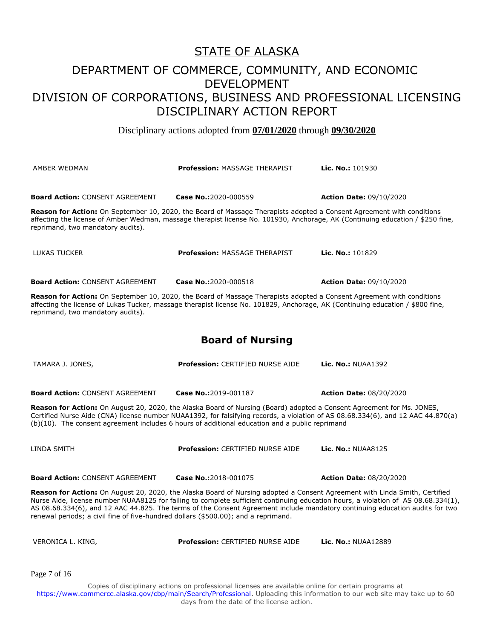## DEPARTMENT OF COMMERCE, COMMUNITY, AND ECONOMIC DEVELOPMENT DIVISION OF CORPORATIONS, BUSINESS AND PROFESSIONAL LICENSING DISCIPLINARY ACTION REPORT

Disciplinary actions adopted from **07/01/2020** through **09/30/2020**

| AMBER WEDMAN                                                                                                                                                                                                                                                                                                                                                                                                                                                                           | <b>Profession: MASSAGE THERAPIST</b>    | <b>Lic. No.: 101930</b>        |
|----------------------------------------------------------------------------------------------------------------------------------------------------------------------------------------------------------------------------------------------------------------------------------------------------------------------------------------------------------------------------------------------------------------------------------------------------------------------------------------|-----------------------------------------|--------------------------------|
| <b>Board Action: CONSENT AGREEMENT</b>                                                                                                                                                                                                                                                                                                                                                                                                                                                 | Case No.:2020-000559                    | <b>Action Date: 09/10/2020</b> |
| Reason for Action: On September 10, 2020, the Board of Massage Therapists adopted a Consent Agreement with conditions<br>affecting the license of Amber Wedman, massage therapist license No. 101930, Anchorage, AK (Continuing education / \$250 fine,<br>reprimand, two mandatory audits).                                                                                                                                                                                           |                                         |                                |
| LUKAS TUCKER                                                                                                                                                                                                                                                                                                                                                                                                                                                                           | <b>Profession: MASSAGE THERAPIST</b>    | Lic. No.: 101829               |
| <b>Board Action: CONSENT AGREEMENT</b>                                                                                                                                                                                                                                                                                                                                                                                                                                                 | Case No.:2020-000518                    | <b>Action Date: 09/10/2020</b> |
| Reason for Action: On September 10, 2020, the Board of Massage Therapists adopted a Consent Agreement with conditions<br>affecting the license of Lukas Tucker, massage therapist license No. 101829, Anchorage, AK (Continuing education / \$800 fine,<br>reprimand, two mandatory audits).                                                                                                                                                                                           |                                         |                                |
|                                                                                                                                                                                                                                                                                                                                                                                                                                                                                        | <b>Board of Nursing</b>                 |                                |
| TAMARA J. JONES,                                                                                                                                                                                                                                                                                                                                                                                                                                                                       | <b>Profession: CERTIFIED NURSE AIDE</b> | Lic. No.: NUAA1392             |
| <b>Board Action: CONSENT AGREEMENT</b>                                                                                                                                                                                                                                                                                                                                                                                                                                                 | Case No.:2019-001187                    | <b>Action Date: 08/20/2020</b> |
| Reason for Action: On August 20, 2020, the Alaska Board of Nursing (Board) adopted a Consent Agreement for Ms. JONES,<br>Certified Nurse Aide (CNA) license number NUAA1392, for falsifying records, a violation of AS 08.68.334(6), and 12 AAC 44.870(a)<br>(b)(10). The consent agreement includes 6 hours of additional education and a public reprimand                                                                                                                            |                                         |                                |
| LINDA SMITH                                                                                                                                                                                                                                                                                                                                                                                                                                                                            | <b>Profession: CERTIFIED NURSE AIDE</b> | <b>Lic. No.: NUAA8125</b>      |
| <b>Board Action: CONSENT AGREEMENT</b>                                                                                                                                                                                                                                                                                                                                                                                                                                                 | Case No.:2018-001075                    | <b>Action Date: 08/20/2020</b> |
| Reason for Action: On August 20, 2020, the Alaska Board of Nursing adopted a Consent Agreement with Linda Smith, Certified<br>Nurse Aide, license number NUAA8125 for failing to complete sufficient continuing education hours, a violation of AS 08.68.334(1),<br>AS 08.68.334(6), and 12 AAC 44.825. The terms of the Consent Agreement include mandatory continuing education audits for two<br>renewal periods; a civil fine of five-hundred dollars (\$500.00); and a reprimand. |                                         |                                |
| VERONICA L. KING,                                                                                                                                                                                                                                                                                                                                                                                                                                                                      | Profession: CERTIFIED NURSE AIDE        | <b>Lic. No.: NUAA12889</b>     |
| Page 7 of 16                                                                                                                                                                                                                                                                                                                                                                                                                                                                           |                                         |                                |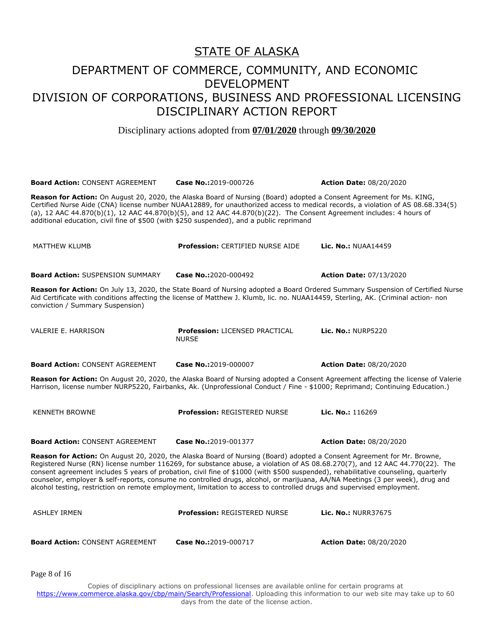Disciplinary actions adopted from **07/01/2020** through **09/30/2020**

**Board Action:** CONSENT AGREEMENT **Case No.:**2019-000726 **Action Date:** 08/20/2020 **Reason for Action:** On August 20, 2020, the Alaska Board of Nursing (Board) adopted a Consent Agreement for Ms. KING, Certified Nurse Aide (CNA) license number NUAA12889, for unauthorized access to medical records, a violation of AS 08.68.334(5) (a), 12 AAC 44.870(b)(1), 12 AAC 44.870(b)(5), and 12 AAC 44.870(b)(22). The Consent Agreement includes: 4 hours of additional education, civil fine of \$500 (with \$250 suspended), and a public reprimand MATTHEW KLUMB **Profession:** CERTIFIED NURSE AIDE **Lic. No.:** NUAA14459 **Board Action:** SUSPENSION SUMMARY **Case No.:**2020-000492 **Action Date:** 07/13/2020 **Reason for Action:** On July 13, 2020, the State Board of Nursing adopted a Board Ordered Summary Suspension of Certified Nurse Aid Certificate with conditions affecting the license of Matthew J. Klumb, lic. no. NUAA14459, Sterling, AK. (Criminal action- non conviction / Summary Suspension) VALERIE E. HARRISON **Profession:** LICENSED PRACTICAL NURSE **Lic. No.:** NURP5220 **Board Action:** CONSENT AGREEMENT **Case No.:**2019-000007 **Action Date:** 08/20/2020 **Reason for Action:** On August 20, 2020, the Alaska Board of Nursing adopted a Consent Agreement affecting the license of Valerie Harrison, license number NURP5220, Fairbanks, Ak. (Unprofessional Conduct / Fine - \$1000; Reprimand; Continuing Education.) KENNETH BROWNE **Profession:** REGISTERED NURSE **Lic. No.:** 116269 **Board Action:** CONSENT AGREEMENT **Case No.:**2019-001377 **Action Date:** 08/20/2020 **Reason for Action:** On August 20, 2020, the Alaska Board of Nursing (Board) adopted a Consent Agreement for Mr. Browne, Registered Nurse (RN) license number 116269, for substance abuse, a violation of AS 08.68.270(7), and 12 AAC 44.770(22). The consent agreement includes 5 years of probation, civil fine of \$1000 (with \$500 suspended), rehabilitative counseling, quarterly counselor, employer & self-reports, consume no controlled drugs, alcohol, or marijuana, AA/NA Meetings (3 per week), drug and alcohol testing, restriction on remote employment, limitation to access to controlled drugs and supervised employment. ASHLEY IRMEN **Profession:** REGISTERED NURSE **Lic. No.:** NURR37675 **Board Action:** CONSENT AGREEMENT **Case No.:**2019-000717 **Action Date:** 08/20/2020

Page 8 of 16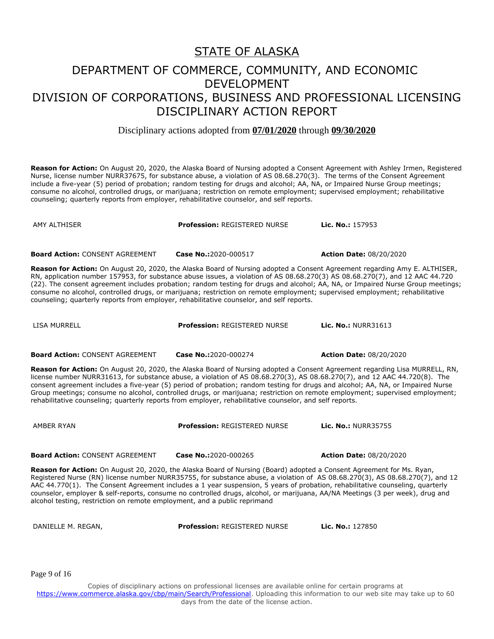Disciplinary actions adopted from **07/01/2020** through **09/30/2020**

**Reason for Action:** On August 20, 2020, the Alaska Board of Nursing adopted a Consent Agreement with Ashley Irmen, Registered Nurse, license number NURR37675, for substance abuse, a violation of AS 08.68.270(3). The terms of the Consent Agreement include a five-year (5) period of probation; random testing for drugs and alcohol; AA, NA, or Impaired Nurse Group meetings; consume no alcohol, controlled drugs, or marijuana; restriction on remote employment; supervised employment; rehabilitative counseling; quarterly reports from employer, rehabilitative counselor, and self reports.

AMY ALTHISER **Profession:** REGISTERED NURSE **Lic. No.:** 157953

**Board Action:** CONSENT AGREEMENT **Case No.:**2020-000517 **Action Date:** 08/20/2020

**Reason for Action:** On August 20, 2020, the Alaska Board of Nursing adopted a Consent Agreement regarding Amy E. ALTHISER, RN, application number 157953, for substance abuse issues, a violation of AS 08.68.270(3) AS 08.68.270(7), and 12 AAC 44.720 (22). The consent agreement includes probation; random testing for drugs and alcohol; AA, NA, or Impaired Nurse Group meetings; consume no alcohol, controlled drugs, or marijuana; restriction on remote employment; supervised employment; rehabilitative counseling; quarterly reports from employer, rehabilitative counselor, and self reports.

LISA MURRELL **Profession:** REGISTERED NURSE **Lic. No.:** NURR31613

**Board Action:** CONSENT AGREEMENT **Case No.:**2020-000274 **Action Date:** 08/20/2020

**Reason for Action:** On August 20, 2020, the Alaska Board of Nursing adopted a Consent Agreement regarding Lisa MURRELL, RN, license number NURR31613, for substance abuse, a violation of AS 08.68.270(3), AS 08.68.270(7), and 12 AAC 44.720(8). The consent agreement includes a five-year (5) period of probation; random testing for drugs and alcohol; AA, NA, or Impaired Nurse Group meetings; consume no alcohol, controlled drugs, or marijuana; restriction on remote employment; supervised employment; rehabilitative counseling; quarterly reports from employer, rehabilitative counselor, and self reports.

AMBER RYAN **Profession:** REGISTERED NURSE **Lic. No.:** NURR35755

**Board Action:** CONSENT AGREEMENT **Case No.:**2020-000265 **Action Date:** 08/20/2020

**Reason for Action:** On August 20, 2020, the Alaska Board of Nursing (Board) adopted a Consent Agreement for Ms. Ryan, Registered Nurse (RN) license number NURR35755, for substance abuse, a violation of AS 08.68.270(3), AS 08.68.270(7), and 12 AAC 44.770(1). The Consent Agreement includes a 1 year suspension, 5 years of probation, rehabilitative counseling, quarterly counselor, employer & self-reports, consume no controlled drugs, alcohol, or marijuana, AA/NA Meetings (3 per week), drug and alcohol testing, restriction on remote employment, and a public reprimand

DANIELLE M. REGAN, **Profession:** REGISTERED NURSE **Lic. No.:** 127850

Page 9 of 16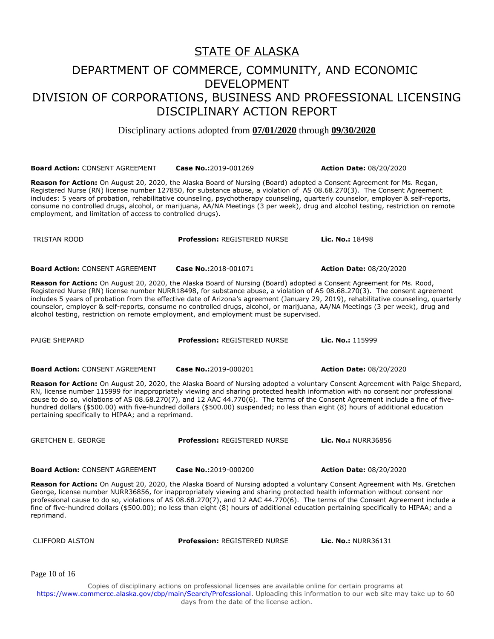## DEPARTMENT OF COMMERCE, COMMUNITY, AND ECONOMIC DEVELOPMENT DIVISION OF CORPORATIONS, BUSINESS AND PROFESSIONAL LICENSING DISCIPLINARY ACTION REPORT

Disciplinary actions adopted from **07/01/2020** through **09/30/2020**

**Board Action:** CONSENT AGREEMENT **Case No.:**2019-001269 **Action Date:** 08/20/2020

**Reason for Action:** On August 20, 2020, the Alaska Board of Nursing (Board) adopted a Consent Agreement for Ms. Regan, Registered Nurse (RN) license number 127850, for substance abuse, a violation of AS 08.68.270(3). The Consent Agreement includes: 5 years of probation, rehabilitative counseling, psychotherapy counseling, quarterly counselor, employer & self-reports, consume no controlled drugs, alcohol, or marijuana, AA/NA Meetings (3 per week), drug and alcohol testing, restriction on remote employment, and limitation of access to controlled drugs).

**Board Action:** CONSENT AGREEMENT **Case No.:**2018-001071 **Action Date:** 08/20/2020

**Reason for Action:** On August 20, 2020, the Alaska Board of Nursing (Board) adopted a Consent Agreement for Ms. Rood, Registered Nurse (RN) license number NURR18498, for substance abuse, a violation of AS 08.68.270(3). The consent agreement includes 5 years of probation from the effective date of Arizona's agreement (January 29, 2019), rehabilitative counseling, quarterly counselor, employer & self-reports, consume no controlled drugs, alcohol, or marijuana, AA/NA Meetings (3 per week), drug and alcohol testing, restriction on remote employment, and employment must be supervised.

PAIGE SHEPARD **Profession:** REGISTERED NURSE **Lic. No.:** 115999

**Board Action:** CONSENT AGREEMENT **Case No.:**2019-000201 **Action Date:** 08/20/2020

**Reason for Action:** On August 20, 2020, the Alaska Board of Nursing adopted a voluntary Consent Agreement with Paige Shepard, RN, license number 115999 for inappropriately viewing and sharing protected health information with no consent nor professional cause to do so, violations of AS 08.68.270(7), and 12 AAC 44.770(6). The terms of the Consent Agreement include a fine of fivehundred dollars (\$500.00) with five-hundred dollars (\$500.00) suspended; no less than eight (8) hours of additional education pertaining specifically to HIPAA; and a reprimand.

**Board Action:** CONSENT AGREEMENT **Case No.:**2019-000200 **Action Date:** 08/20/2020

**Reason for Action:** On August 20, 2020, the Alaska Board of Nursing adopted a voluntary Consent Agreement with Ms. Gretchen George, license number NURR36856, for inappropriately viewing and sharing protected health information without consent nor professional cause to do so, violations of AS 08.68.270(7), and 12 AAC 44.770(6). The terms of the Consent Agreement include a fine of five-hundred dollars (\$500.00); no less than eight (8) hours of additional education pertaining specifically to HIPAA; and a

CLIFFORD ALSTON **Profession:** REGISTERED NURSE **Lic. No.:** NURR36131

Page 10 of 16

reprimand.

Copies of disciplinary actions on professional licenses are available online for certain programs at https://www.commerce.alaska.gov/cbp/main/Search/Professional</u>. Uploading this information to our web site may take up to 60 days from the date of the license action.

GRETCHEN E. GEORGE **Profession:** REGISTERED NURSE **Lic. No.:** NURR36856

TRISTAN ROOD **Profession:** REGISTERED NURSE **Lic. No.:** 18498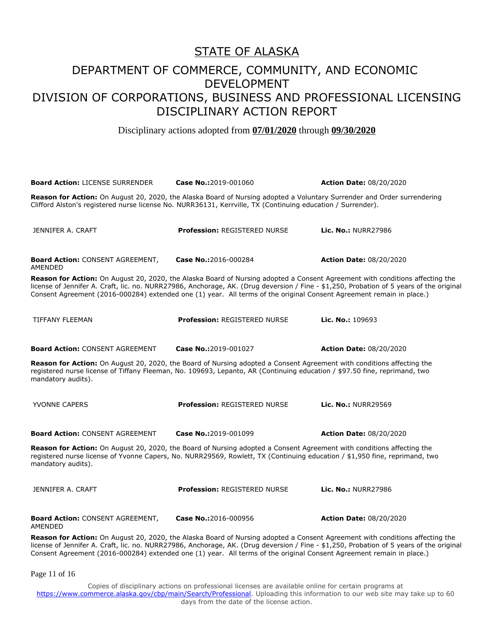Disciplinary actions adopted from **07/01/2020** through **09/30/2020**

| <b>Board Action: LICENSE SURRENDER</b>                                                                                                                                                                                                                                                                                                                                                          | Case No.:2019-001060                | <b>Action Date: 08/20/2020</b> |  |
|-------------------------------------------------------------------------------------------------------------------------------------------------------------------------------------------------------------------------------------------------------------------------------------------------------------------------------------------------------------------------------------------------|-------------------------------------|--------------------------------|--|
| Reason for Action: On August 20, 2020, the Alaska Board of Nursing adopted a Voluntary Surrender and Order surrendering<br>Clifford Alston's registered nurse license No. NURR36131, Kerrville, TX (Continuing education / Surrender).                                                                                                                                                          |                                     |                                |  |
| JENNIFER A. CRAFT                                                                                                                                                                                                                                                                                                                                                                               | <b>Profession: REGISTERED NURSE</b> | <b>Lic. No.: NURR27986</b>     |  |
| <b>Board Action: CONSENT AGREEMENT,</b><br>AMENDED                                                                                                                                                                                                                                                                                                                                              | Case No.:2016-000284                | <b>Action Date: 08/20/2020</b> |  |
| Reason for Action: On August 20, 2020, the Alaska Board of Nursing adopted a Consent Agreement with conditions affecting the<br>license of Jennifer A. Craft, lic. no. NURR27986, Anchorage, AK. (Drug deversion / Fine - \$1,250, Probation of 5 years of the original<br>Consent Agreement (2016-000284) extended one (1) year. All terms of the original Consent Agreement remain in place.) |                                     |                                |  |
| <b>TIFFANY FLEEMAN</b>                                                                                                                                                                                                                                                                                                                                                                          | <b>Profession: REGISTERED NURSE</b> | Lic. No.: $109693$             |  |
| <b>Board Action: CONSENT AGREEMENT</b>                                                                                                                                                                                                                                                                                                                                                          | Case No.:2019-001027                | <b>Action Date: 08/20/2020</b> |  |
| Reason for Action: On August 20, 2020, the Board of Nursing adopted a Consent Agreement with conditions affecting the<br>registered nurse license of Tiffany Fleeman, No. 109693, Lepanto, AR (Continuing education / \$97.50 fine, reprimand, two<br>mandatory audits).                                                                                                                        |                                     |                                |  |
| <b>YVONNE CAPERS</b>                                                                                                                                                                                                                                                                                                                                                                            | Profession: REGISTERED NURSE        | <b>Lic. No.: NURR29569</b>     |  |
| <b>Board Action: CONSENT AGREEMENT</b>                                                                                                                                                                                                                                                                                                                                                          | Case No.:2019-001099                | <b>Action Date: 08/20/2020</b> |  |
| Reason for Action: On August 20, 2020, the Board of Nursing adopted a Consent Agreement with conditions affecting the<br>registered nurse license of Yvonne Capers, No. NURR29569, Rowlett, TX (Continuing education / \$1,950 fine, reprimand, two<br>mandatory audits).                                                                                                                       |                                     |                                |  |
| JENNIFER A. CRAFT                                                                                                                                                                                                                                                                                                                                                                               | <b>Profession: REGISTERED NURSE</b> | <b>Lic. No.: NURR27986</b>     |  |
| <b>Board Action: CONSENT AGREEMENT,</b><br><b>AMENDED</b>                                                                                                                                                                                                                                                                                                                                       | Case No.:2016-000956                | <b>Action Date: 08/20/2020</b> |  |
| Reason for Action: On August 20, 2020, the Alaska Board of Nursing adopted a Consent Agreement with conditions affecting the<br>license of Jennifer A. Craft, lic. no. NURR27986, Anchorage, AK. (Drug deversion / Fine - \$1,250, Probation of 5 years of the original<br>Consent Agreement (2016-000284) extended one (1) year. All terms of the original Consent Agreement remain in place.) |                                     |                                |  |

Page 11 of 16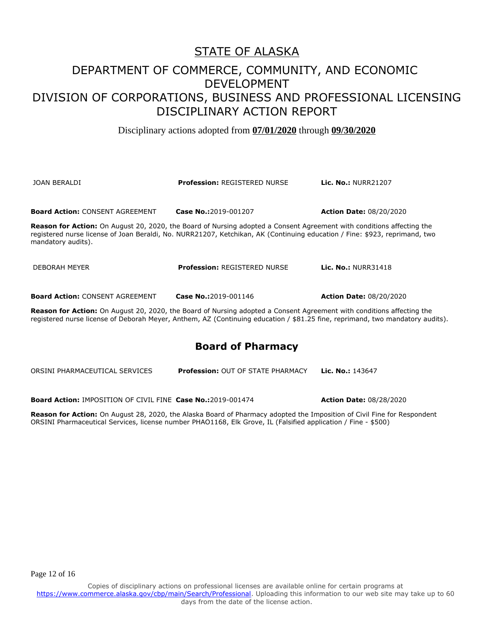Disciplinary actions adopted from **07/01/2020** through **09/30/2020**

| JOAN BERALDI                                                                                                                                                                                                                                                                     | <b>Profession: REGISTERED NURSE</b> | <b>Lic. No.: NURR21207</b>                                                                                                    |
|----------------------------------------------------------------------------------------------------------------------------------------------------------------------------------------------------------------------------------------------------------------------------------|-------------------------------------|-------------------------------------------------------------------------------------------------------------------------------|
| <b>Board Action: CONSENT AGREEMENT</b>                                                                                                                                                                                                                                           | Case No.:2019-001207                | <b>Action Date: 08/20/2020</b>                                                                                                |
| <b>Reason for Action:</b> On August 20, 2020, the Board of Nursing adopted a Consent Agreement with conditions affecting the<br>registered nurse license of Joan Beraldi, No. NURR21207, Ketchikan, AK (Continuing education / Fine: \$923, reprimand, two<br>mandatory audits). |                                     |                                                                                                                               |
| DEBORAH MEYER                                                                                                                                                                                                                                                                    | <b>Profession: REGISTERED NURSE</b> | <b>Lic. No.: NURR31418</b>                                                                                                    |
| <b>Board Action: CONSENT AGREEMENT</b>                                                                                                                                                                                                                                           | Case No.:2019-001146                | <b>Action Date: 08/20/2020</b>                                                                                                |
| Reason for Action: On August 20, 2020, the Board of Nursing adopted a Consent Agreement with conditions affecting the                                                                                                                                                            |                                     | registered nurse license of Deborah Meyer, Anthem, AZ (Continuing education / \$81.25 fine, reprimand, two mandatory audits). |

## **Board of Pharmacy**

ORSINI PHARMACEUTICAL SERVICES **Profession:** OUT OF STATE PHARMACY **Lic. No.:** 143647

**Board Action:** IMPOSITION OF CIVIL FINE **Case No.:**2019-001474 **Action Date:** 08/28/2020

**Reason for Action:** On August 28, 2020, the Alaska Board of Pharmacy adopted the Imposition of Civil Fine for Respondent ORSINI Pharmaceutical Services, license number PHAO1168, Elk Grove, IL (Falsified application / Fine - \$500)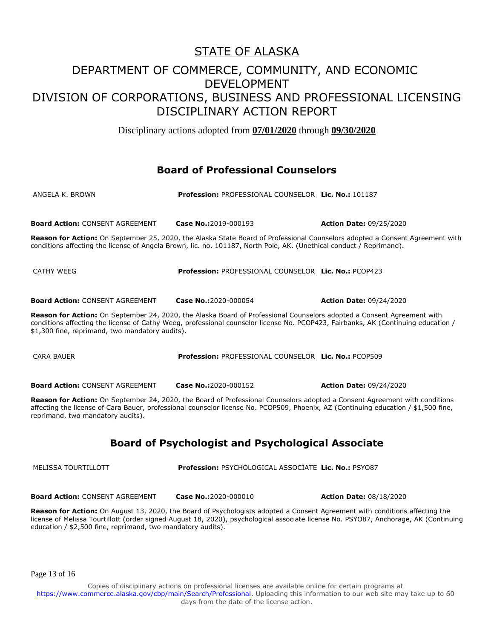Disciplinary actions adopted from **07/01/2020** through **09/30/2020**

## **Board of Professional Counselors**

| ANGELA K. BROWN                                                                                                                                                                                                                                                                                                | Profession: PROFESSIONAL COUNSELOR Lic. No.: 101187                                                                 |                                                                                                                              |
|----------------------------------------------------------------------------------------------------------------------------------------------------------------------------------------------------------------------------------------------------------------------------------------------------------------|---------------------------------------------------------------------------------------------------------------------|------------------------------------------------------------------------------------------------------------------------------|
| <b>Board Action: CONSENT AGREEMENT</b>                                                                                                                                                                                                                                                                         | Case No.:2019-000193                                                                                                | <b>Action Date: 09/25/2020</b>                                                                                               |
|                                                                                                                                                                                                                                                                                                                | conditions affecting the license of Angela Brown, lic. no. 101187, North Pole, AK. (Unethical conduct / Reprimand). | Reason for Action: On September 25, 2020, the Alaska State Board of Professional Counselors adopted a Consent Agreement with |
| CATHY WEEG                                                                                                                                                                                                                                                                                                     | Profession: PROFESSIONAL COUNSELOR Lic. No.: PCOP423                                                                |                                                                                                                              |
| <b>Board Action: CONSENT AGREEMENT</b>                                                                                                                                                                                                                                                                         | <b>Case No.:2020-000054</b>                                                                                         | <b>Action Date: 09/24/2020</b>                                                                                               |
| Reason for Action: On September 24, 2020, the Alaska Board of Professional Counselors adopted a Consent Agreement with<br>conditions affecting the license of Cathy Weeg, professional counselor license No. PCOP423, Fairbanks, AK (Continuing education /<br>\$1,300 fine, reprimand, two mandatory audits). |                                                                                                                     |                                                                                                                              |

CARA BAUER **Profession:** PROFESSIONAL COUNSELOR **Lic. No.:** PCOP509

**Board Action:** CONSENT AGREEMENT **Case No.:**2020-000152 **Action Date:** 09/24/2020

**Reason for Action:** On September 24, 2020, the Board of Professional Counselors adopted a Consent Agreement with conditions affecting the license of Cara Bauer, professional counselor license No. PCOP509, Phoenix, AZ (Continuing education / \$1,500 fine, reprimand, two mandatory audits).

## **Board of Psychologist and Psychological Associate**

MELISSA TOURTILLOTT **Profession:** PSYCHOLOGICAL ASSOCIATE **Lic. No.:** PSYO87

**Board Action:** CONSENT AGREEMENT **Case No.:**2020-000010 **Action Date:** 08/18/2020

**Reason for Action:** On August 13, 2020, the Board of Psychologists adopted a Consent Agreement with conditions affecting the license of Melissa Tourtillott (order signed August 18, 2020), psychological associate license No. PSYO87, Anchorage, AK (Continuing education / \$2,500 fine, reprimand, two mandatory audits).

Page 13 of 16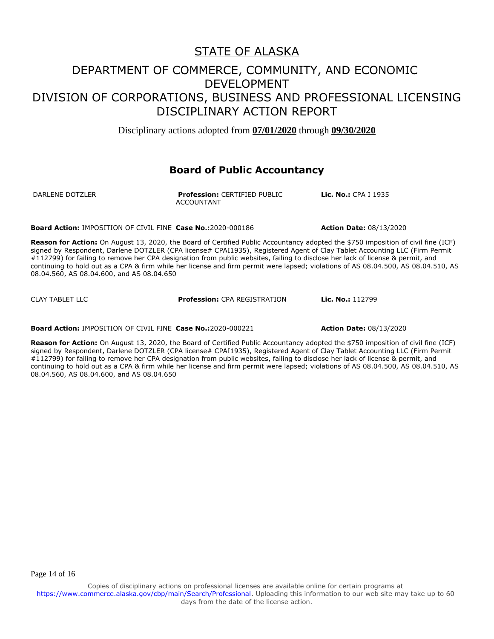Disciplinary actions adopted from **07/01/2020** through **09/30/2020**

### **Board of Public Accountancy**

DARLENE DOTZLER **Profession:** CERTIFIED PUBLIC ACCOUNTANT

**Lic. No.:** CPA I 1935

**Board Action:** IMPOSITION OF CIVIL FINE **Case No.:**2020-000186 **Action Date:** 08/13/2020

**Reason for Action:** On August 13, 2020, the Board of Certified Public Accountancy adopted the \$750 imposition of civil fine (ICF) signed by Respondent, Darlene DOTZLER (CPA license# CPAI1935), Registered Agent of Clay Tablet Accounting LLC (Firm Permit #112799) for failing to remove her CPA designation from public websites, failing to disclose her lack of license & permit, and continuing to hold out as a CPA & firm while her license and firm permit were lapsed; violations of AS 08.04.500, AS 08.04.510, AS 08.04.560, AS 08.04.600, and AS 08.04.650

CLAY TABLET LLC **Profession:** CPA REGISTRATION **Lic. No.:** 112799

**Board Action:** IMPOSITION OF CIVIL FINE **Case No.:**2020-000221 **Action Date:** 08/13/2020

**Reason for Action:** On August 13, 2020, the Board of Certified Public Accountancy adopted the \$750 imposition of civil fine (ICF) signed by Respondent, Darlene DOTZLER (CPA license# CPAI1935), Registered Agent of Clay Tablet Accounting LLC (Firm Permit #112799) for failing to remove her CPA designation from public websites, failing to disclose her lack of license & permit, and continuing to hold out as a CPA & firm while her license and firm permit were lapsed; violations of AS 08.04.500, AS 08.04.510, AS 08.04.560, AS 08.04.600, and AS 08.04.650

Page 14 of 16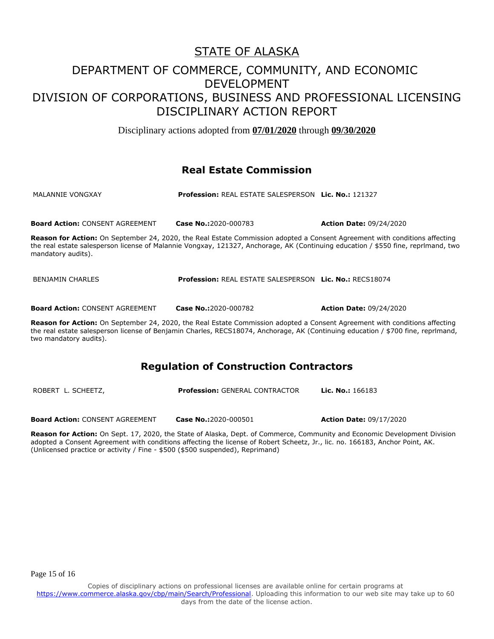Disciplinary actions adopted from **07/01/2020** through **09/30/2020**

## **Real Estate Commission**

| MALANNIE VONGXAY | <b>Profession: REAL ESTATE SALESPERSON Lic. No.: 121327</b> |  |
|------------------|-------------------------------------------------------------|--|
|                  |                                                             |  |

**Board Action:** CONSENT AGREEMENT **Case No.:**2020-000783 **Action Date:** 09/24/2020

**Reason for Action:** On September 24, 2020, the Real Estate Commission adopted a Consent Agreement with conditions affecting the real estate salesperson license of Malannie Vongxay, 121327, Anchorage, AK (Continuing education / \$550 fine, reprlmand, two mandatory audits).

| <b>Profession: REAL ESTATE SALESPERSON Lic. No.: RECS18074</b><br>BENJAMIN CHARLES |
|------------------------------------------------------------------------------------|
|------------------------------------------------------------------------------------|

**Board Action:** CONSENT AGREEMENT **Case No.:**2020-000782 **Action Date:** 09/24/2020

**Reason for Action:** On September 24, 2020, the Real Estate Commission adopted a Consent Agreement with conditions affecting the real estate salesperson license of Benjamin Charles, RECS18074, Anchorage, AK (Continuing education / \$700 fine, reprlmand, two mandatory audits).

## **Regulation of Construction Contractors**

| ROBERT L. SCHEETZ,                     | <b>Profession: GENERAL CONTRACTOR</b> | <b>Lic. No.:</b> 166183        |  |
|----------------------------------------|---------------------------------------|--------------------------------|--|
|                                        |                                       |                                |  |
| <b>Board Action: CONSENT AGREEMENT</b> | <b>Case No.:</b> 2020-000501          | <b>Action Date: 09/17/2020</b> |  |

**Reason for Action:** On Sept. 17, 2020, the State of Alaska, Dept. of Commerce, Community and Economic Development Division adopted a Consent Agreement with conditions affecting the license of Robert Scheetz, Jr., lic. no. 166183, Anchor Point, AK. (Unlicensed practice or activity / Fine - \$500 (\$500 suspended), Reprimand)